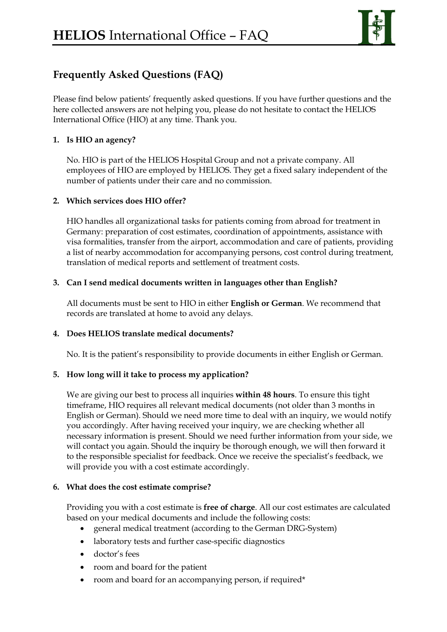

# **Frequently Asked Questions (FAQ)**

Please find below patients' frequently asked questions. If you have further questions and the here collected answers are not helping you, please do not hesitate to contact the HELIOS International Office (HIO) at any time. Thank you.

# **1. Is HIO an agency?**

No. HIO is part of the HELIOS Hospital Group and not a private company. All employees of HIO are employed by HELIOS. They get a fixed salary independent of the number of patients under their care and no commission.

## **2. Which services does HIO offer?**

HIO handles all organizational tasks for patients coming from abroad for treatment in Germany: preparation of cost estimates, coordination of appointments, assistance with visa formalities, transfer from the airport, accommodation and care of patients, providing a list of nearby accommodation for accompanying persons, cost control during treatment, translation of medical reports and settlement of treatment costs.

## **3. Can I send medical documents written in languages other than English?**

All documents must be sent to HIO in either **English or German**. We recommend that records are translated at home to avoid any delays.

#### **4. Does HELIOS translate medical documents?**

No. It is the patient's responsibility to provide documents in either English or German.

#### **5. How long will it take to process my application?**

We are giving our best to process all inquiries **within 48 hours**. To ensure this tight timeframe, HIO requires all relevant medical documents (not older than 3 months in English or German). Should we need more time to deal with an inquiry, we would notify you accordingly. After having received your inquiry, we are checking whether all necessary information is present. Should we need further information from your side, we will contact you again. Should the inquiry be thorough enough, we will then forward it to the responsible specialist for feedback. Once we receive the specialist's feedback, we will provide you with a cost estimate accordingly.

#### **6. What does the cost estimate comprise?**

Providing you with a cost estimate is **free of charge**. All our cost estimates are calculated based on your medical documents and include the following costs:

- general medical treatment (according to the German DRG-System)
- laboratory tests and further case-specific diagnostics
- doctor's fees
- room and board for the patient
- room and board for an accompanying person, if required\*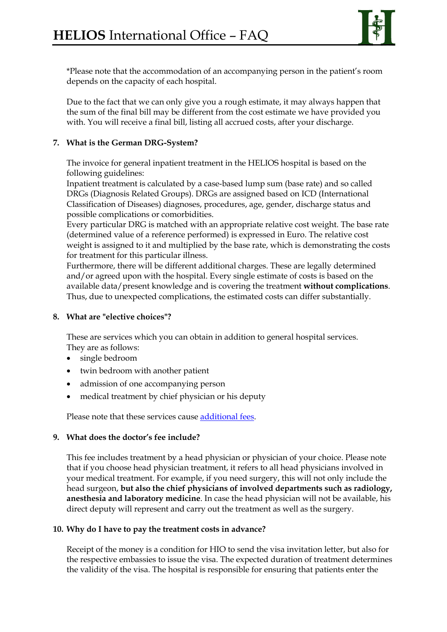

\*Please note that the accommodation of an accompanying person in the patient's room depends on the capacity of each hospital.

Due to the fact that we can only give you a rough estimate, it may always happen that the sum of the final bill may be different from the cost estimate we have provided you with. You will receive a final bill, listing all accrued costs, after your discharge.

# **7. What is the German DRG-System?**

The invoice for general inpatient treatment in the HELIOS hospital is based on the following guidelines:

Inpatient treatment is calculated by a case-based lump sum (base rate) and so called DRGs (Diagnosis Related Groups). DRGs are assigned based on ICD (International Classification of Diseases) diagnoses, procedures, age, gender, discharge status and possible complications or comorbidities.

Every particular DRG is matched with an appropriate relative cost weight. The base rate (determined value of a reference performed) is expressed in Euro. The relative cost weight is assigned to it and multiplied by the base rate, which is demonstrating the costs for treatment for this particular illness.

Furthermore, there will be different additional charges. These are legally determined and/or agreed upon with the hospital. Every single estimate of costs is based on the available data/present knowledge and is covering the treatment **without complications**. Thus, due to unexpected complications, the estimated costs can differ substantially.

#### **8. What are "elective choices"?**

These are services which you can obtain in addition to general hospital services. They are as follows:

- single bedroom
- twin bedroom with another patient
- admission of one accompanying person
- medical treatment by chief physician or his deputy

Please note that these services cause additional fees.

#### **9. What does the doctor's fee include?**

This fee includes treatment by a head physician or physician of your choice. Please note that if you choose head physician treatment, it refers to all head physicians involved in your medical treatment. For example, if you need surgery, this will not only include the head surgeon, **but also the chief physicians of involved departments such as radiology, anesthesia and laboratory medicine**. In case the head physician will not be available, his direct deputy will represent and carry out the treatment as well as the surgery.

#### **10. Why do I have to pay the treatment costs in advance?**

Receipt of the money is a condition for HIO to send the visa invitation letter, but also for the respective embassies to issue the visa. The expected duration of treatment determines the validity of the visa. The hospital is responsible for ensuring that patients enter the